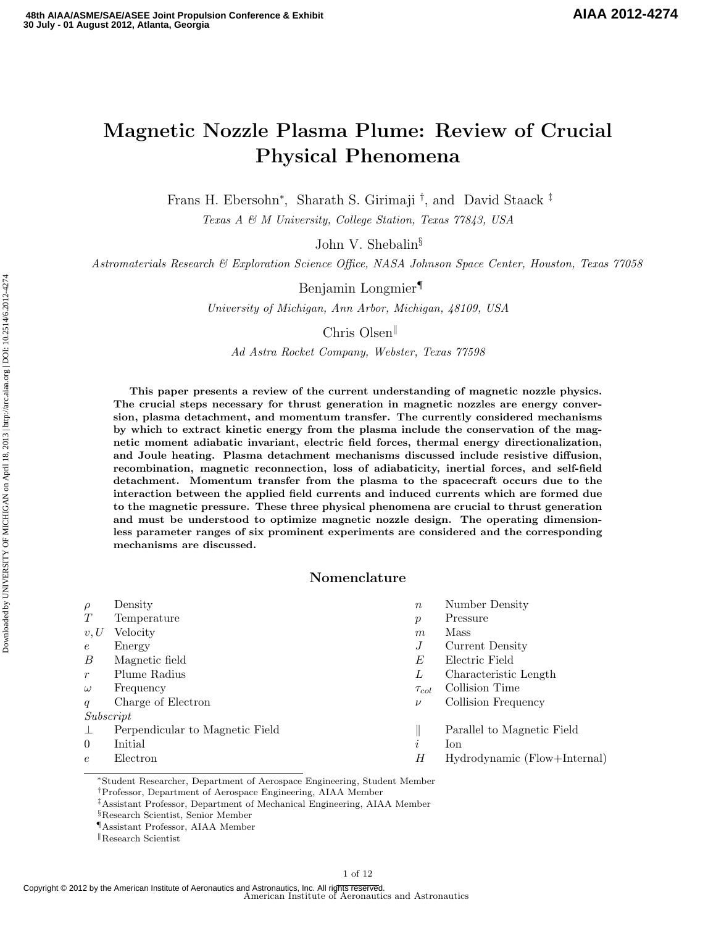# Magnetic Nozzle Plasma Plume: Review of Crucial Physical Phenomena

Frans H. Ebersohn<sup>∗</sup> , Sharath S. Girimaji † , and David Staack ‡

Texas A & M University, College Station, Texas 77843, USA

John V. Shebalin§

Astromaterials Research & Exploration Science Office, NASA Johnson Space Center, Houston, Texas 77058

Benjamin Longmier¶

University of Michigan, Ann Arbor, Michigan, 48109, USA

Chris Olsen

Ad Astra Rocket Company, Webster, Texas 77598

This paper presents a review of the current understanding of magnetic nozzle physics. The crucial steps necessary for thrust generation in magnetic nozzles are energy conversion, plasma detachment, and momentum transfer. The currently considered mechanisms by which to extract kinetic energy from the plasma include the conservation of the magnetic moment adiabatic invariant, electric field forces, thermal energy directionalization, and Joule heating. Plasma detachment mechanisms discussed include resistive diffusion, recombination, magnetic reconnection, loss of adiabaticity, inertial forces, and self-field detachment. Momentum transfer from the plasma to the spacecraft occurs due to the interaction between the applied field currents and induced currents which are formed due to the magnetic pressure. These three physical phenomena are crucial to thrust generation and must be understood to optimize magnetic nozzle design. The operating dimensionless parameter ranges of six prominent experiments are considered and the corresponding mechanisms are discussed.

# Nomenclature

| $\rho$     | Density                         | $\boldsymbol{n}$ | Number Density               |  |  |  |
|------------|---------------------------------|------------------|------------------------------|--|--|--|
| T          | Temperature                     | $\boldsymbol{p}$ | Pressure                     |  |  |  |
| v, U       | Velocity                        | m                | Mass                         |  |  |  |
| $\epsilon$ | Energy                          | J                | Current Density              |  |  |  |
| В          | Magnetic field                  | Е                | Electric Field               |  |  |  |
| r          | Plume Radius                    | L                | Characteristic Length        |  |  |  |
| $\omega$   | Frequency                       | $\tau_{col}$     | Collision Time               |  |  |  |
| q          | Charge of Electron              | $\nu$            | Collision Frequency          |  |  |  |
| Subscript  |                                 |                  |                              |  |  |  |
|            | Perpendicular to Magnetic Field |                  | Parallel to Magnetic Field   |  |  |  |
| $\theta$   | Initial                         | ı                | Ion                          |  |  |  |
| $\epsilon$ | Electron                        | Η                | Hydrodynamic (Flow+Internal) |  |  |  |
|            |                                 |                  |                              |  |  |  |

<sup>∗</sup>Student Researcher, Department of Aerospace Engineering, Student Member

<sup>†</sup>Professor, Department of Aerospace Engineering, AIAA Member

<sup>‡</sup>Assistant Professor, Department of Mechanical Engineering, AIAA Member

<sup>§</sup>Research Scientist, Senior Member

<sup>¶</sup>Assistant Professor, AIAA Member

 $\mathbb{R}$ Research Scientist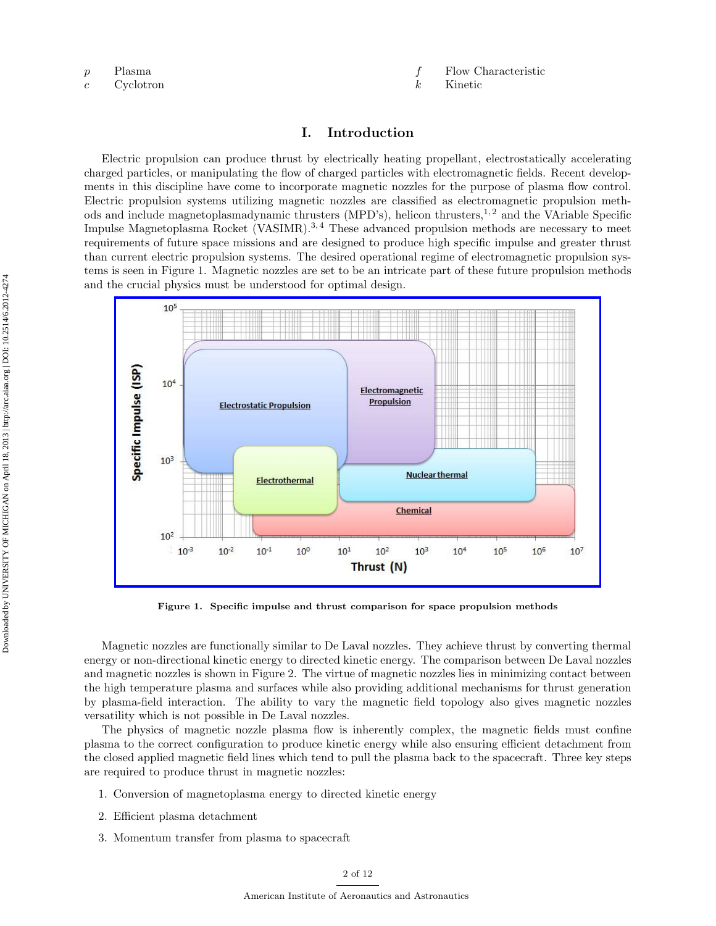- $c$  Cyclotron  $k$  Kinetic
- $p$  Plasma f Flow Characteristic

# I. Introduction

Electric propulsion can produce thrust by electrically heating propellant, electrostatically accelerating charged particles, or manipulating the flow of charged particles with electromagnetic fields. Recent developments in this discipline have come to incorporate magnetic nozzles for the purpose of plasma flow control. Electric propulsion systems utilizing magnetic nozzles are classified as electromagnetic propulsion methods and include magnetoplasmadynamic thrusters (MPD's), helicon thrusters,  $1, 2$  and the VAriable Specific Impulse Magnetoplasma Rocket (VASIMR).<sup>3,4</sup> These advanced propulsion methods are necessary to meet requirements of future space missions and are designed to produce high specific impulse and greater thrust than current electric propulsion systems. The desired operational regime of electromagnetic propulsion systems is seen in Figure 1. Magnetic nozzles are set to be an intricate part of these future propulsion methods and the crucial physics must be understood for optimal design.



Figure 1. Specific impulse and thrust comparison for space propulsion methods

Magnetic nozzles are functionally similar to De Laval nozzles. They achieve thrust by converting thermal energy or non-directional kinetic energy to directed kinetic energy. The comparison between De Laval nozzles and magnetic nozzles is shown in Figure 2. The virtue of magnetic nozzles lies in minimizing contact between the high temperature plasma and surfaces while also providing additional mechanisms for thrust generation by plasma-field interaction. The ability to vary the magnetic field topology also gives magnetic nozzles versatility which is not possible in De Laval nozzles.

The physics of magnetic nozzle plasma flow is inherently complex, the magnetic fields must confine plasma to the correct configuration to produce kinetic energy while also ensuring efficient detachment from the closed applied magnetic field lines which tend to pull the plasma back to the spacecraft. Three key steps are required to produce thrust in magnetic nozzles:

- 1. Conversion of magnetoplasma energy to directed kinetic energy
- 2. Efficient plasma detachment
- 3. Momentum transfer from plasma to spacecraft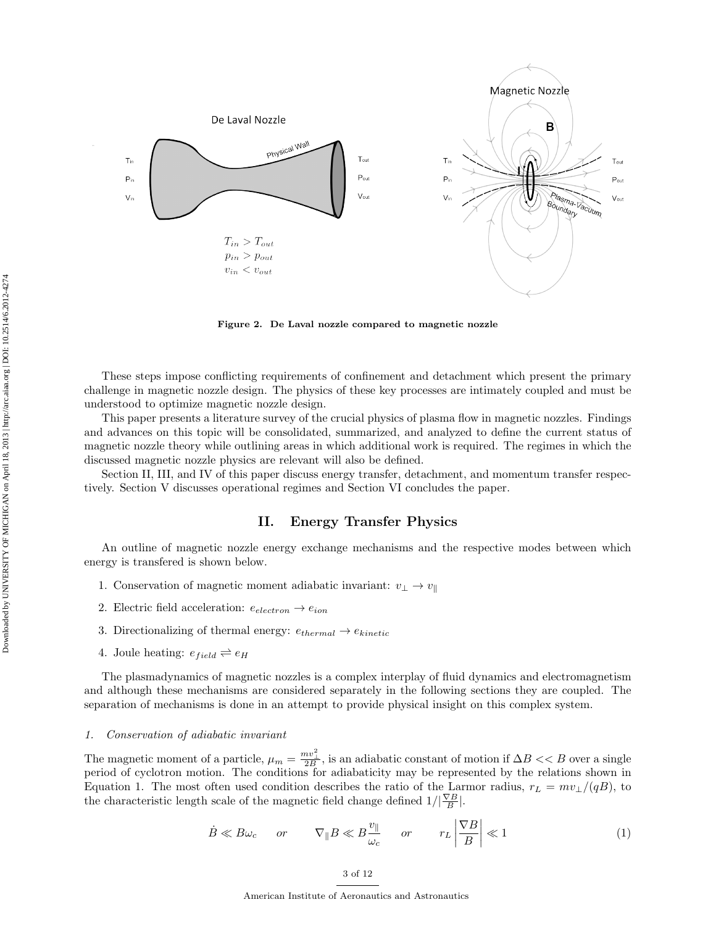

Figure 2. De Laval nozzle compared to magnetic nozzle

These steps impose conflicting requirements of confinement and detachment which present the primary challenge in magnetic nozzle design. The physics of these key processes are intimately coupled and must be understood to optimize magnetic nozzle design.

This paper presents a literature survey of the crucial physics of plasma flow in magnetic nozzles. Findings and advances on this topic will be consolidated, summarized, and analyzed to define the current status of magnetic nozzle theory while outlining areas in which additional work is required. The regimes in which the discussed magnetic nozzle physics are relevant will also be defined.

Section II, III, and IV of this paper discuss energy transfer, detachment, and momentum transfer respectively. Section V discusses operational regimes and Section VI concludes the paper.

# II. Energy Transfer Physics

An outline of magnetic nozzle energy exchange mechanisms and the respective modes between which energy is transfered is shown below.

- 1. Conservation of magnetic moment adiabatic invariant:  $v_{\perp} \rightarrow v_{\parallel}$
- 2. Electric field acceleration:  $e_{electron} \rightarrow e_{ion}$
- 3. Directionalizing of thermal energy:  $e_{thermal} \rightarrow e_{kinetic}$
- 4. Joule heating:  $e_{field} \rightleftharpoons e_H$

The plasmadynamics of magnetic nozzles is a complex interplay of fluid dynamics and electromagnetism and although these mechanisms are considered separately in the following sections they are coupled. The separation of mechanisms is done in an attempt to provide physical insight on this complex system.

#### 1. Conservation of adiabatic invariant

The magnetic moment of a particle,  $\mu_m = \frac{mv_\perp^2}{2B}$ , is an adiabatic constant of motion if  $\Delta B << B$  over a single period of cyclotron motion. The conditions for adiabaticity may be represented by the relations shown in Equation 1. The most often used condition describes the ratio of the Larmor radius,  $r_L = mv_{\perp}/(qB)$ , to the characteristic length scale of the magnetic field change defined  $1/|\frac{\nabla B}{B}|$ .

$$
\dot{B} \ll B\omega_c \quad or \quad \nabla_{\parallel}B \ll B\frac{v_{\parallel}}{\omega_c} \quad or \quad r_L \left|\frac{\nabla B}{B}\right| \ll 1 \tag{1}
$$

3 of 12

American Institute of Aeronautics and Astronautics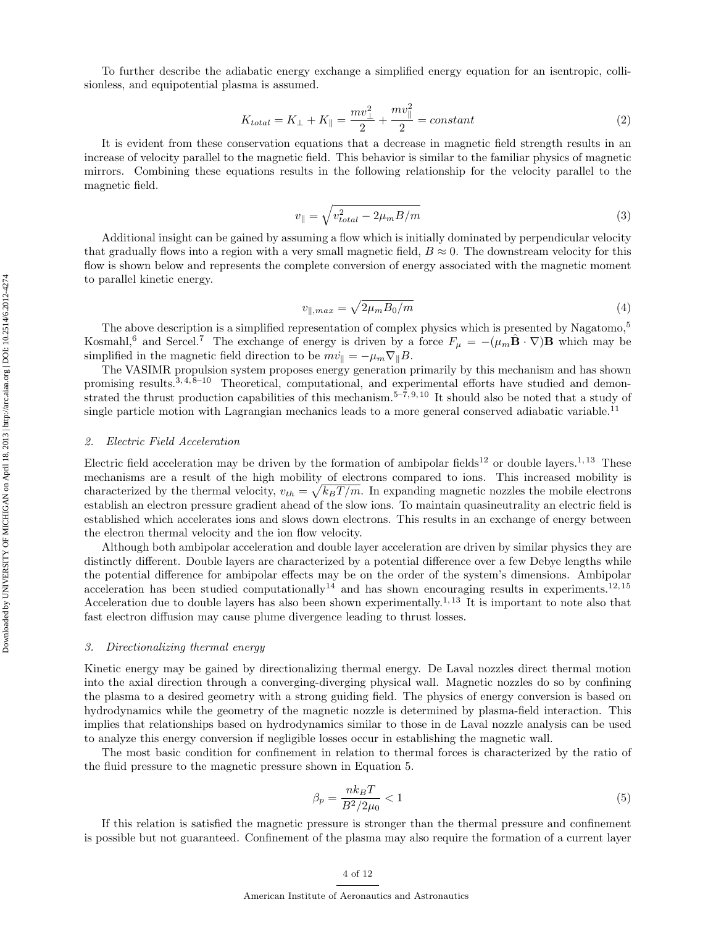To further describe the adiabatic energy exchange a simplified energy equation for an isentropic, collisionless, and equipotential plasma is assumed.

$$
K_{total} = K_{\perp} + K_{\parallel} = \frac{mv_{\perp}^2}{2} + \frac{mv_{\parallel}^2}{2} = constant \tag{2}
$$

It is evident from these conservation equations that a decrease in magnetic field strength results in an increase of velocity parallel to the magnetic field. This behavior is similar to the familiar physics of magnetic mirrors. Combining these equations results in the following relationship for the velocity parallel to the magnetic field.

$$
v_{\parallel} = \sqrt{v_{total}^2 - 2\mu_m B/m} \tag{3}
$$

Additional insight can be gained by assuming a flow which is initially dominated by perpendicular velocity that gradually flows into a region with a very small magnetic field,  $B \approx 0$ . The downstream velocity for this flow is shown below and represents the complete conversion of energy associated with the magnetic moment to parallel kinetic energy.

$$
v_{\parallel,max} = \sqrt{2\mu_m B_0/m} \tag{4}
$$

The above description is a simplified representation of complex physics which is presented by Nagatomo,<sup>5</sup> Kosmahl,<sup>6</sup> and Sercel.<sup>7</sup> The exchange of energy is driven by a force  $F_{\mu} = -(\mu_m \mathbf{B} \cdot \nabla)\mathbf{B}$  which may be simplified in the magnetic field direction to be  $m\dot{v}_{\parallel} = -\mu_m \nabla_{\parallel} B$ .

The VASIMR propulsion system proposes energy generation primarily by this mechanism and has shown promising results. $3, 4, 8–10$  Theoretical, computational, and experimental efforts have studied and demonstrated the thrust production capabilities of this mechanism.<sup>5–7,9,10</sup> It should also be noted that a study of single particle motion with Lagrangian mechanics leads to a more general conserved adiabatic variable.<sup>11</sup>

# 2. Electric Field Acceleration

Electric field acceleration may be driven by the formation of ambipolar fields<sup>12</sup> or double layers.<sup>1, 13</sup> These mechanisms are a result of the high mobility of electrons compared to ions. This increased mobility is characterized by the thermal velocity,  $v_{th} = \sqrt{k_B T / m}$ . In expanding magnetic nozzles the mobile electrons establish an electron pressure gradient ahead of the slow ions. To maintain quasineutrality an electric field is established which accelerates ions and slows down electrons. This results in an exchange of energy between the electron thermal velocity and the ion flow velocity.

Although both ambipolar acceleration and double layer acceleration are driven by similar physics they are distinctly different. Double layers are characterized by a potential difference over a few Debye lengths while the potential difference for ambipolar effects may be on the order of the system's dimensions. Ambipolar acceleration has been studied computationally<sup>14</sup> and has shown encouraging results in experiments.<sup>12, 15</sup> Acceleration due to double layers has also been shown experimentally.<sup>1, 13</sup> It is important to note also that fast electron diffusion may cause plume divergence leading to thrust losses.

#### 3. Directionalizing thermal energy

Kinetic energy may be gained by directionalizing thermal energy. De Laval nozzles direct thermal motion into the axial direction through a converging-diverging physical wall. Magnetic nozzles do so by confining the plasma to a desired geometry with a strong guiding field. The physics of energy conversion is based on hydrodynamics while the geometry of the magnetic nozzle is determined by plasma-field interaction. This implies that relationships based on hydrodynamics similar to those in de Laval nozzle analysis can be used to analyze this energy conversion if negligible losses occur in establishing the magnetic wall.

The most basic condition for confinement in relation to thermal forces is characterized by the ratio of the fluid pressure to the magnetic pressure shown in Equation 5.

$$
\beta_p = \frac{nk_B T}{B^2 / 2\mu_0} < 1\tag{5}
$$

If this relation is satisfied the magnetic pressure is stronger than the thermal pressure and confinement is possible but not guaranteed. Confinement of the plasma may also require the formation of a current layer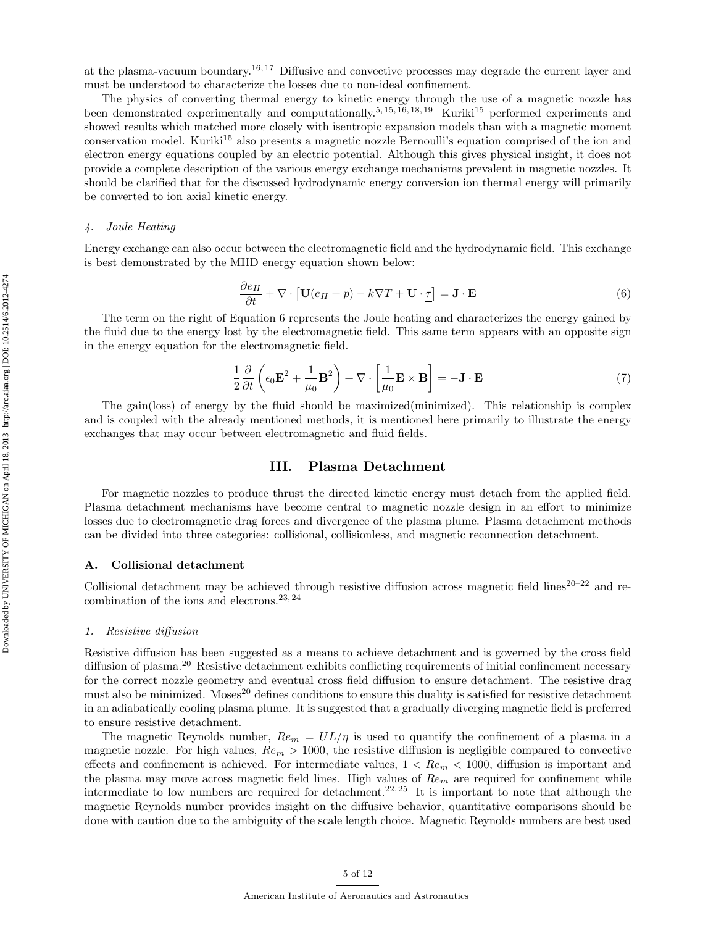at the plasma-vacuum boundary.16, 17 Diffusive and convective processes may degrade the current layer and must be understood to characterize the losses due to non-ideal confinement.

The physics of converting thermal energy to kinetic energy through the use of a magnetic nozzle has been demonstrated experimentally and computationally.5, 15, 16, 18, 19 Kuriki<sup>15</sup> performed experiments and showed results which matched more closely with isentropic expansion models than with a magnetic moment conservation model. Kuriki<sup>15</sup> also presents a magnetic nozzle Bernoulli's equation comprised of the ion and electron energy equations coupled by an electric potential. Although this gives physical insight, it does not provide a complete description of the various energy exchange mechanisms prevalent in magnetic nozzles. It should be clarified that for the discussed hydrodynamic energy conversion ion thermal energy will primarily be converted to ion axial kinetic energy.

#### 4. Joule Heating

Energy exchange can also occur between the electromagnetic field and the hydrodynamic field. This exchange is best demonstrated by the MHD energy equation shown below:

$$
\frac{\partial e_H}{\partial t} + \nabla \cdot \left[ \mathbf{U}(e_H + p) - k \nabla T + \mathbf{U} \cdot \underline{\tau} \right] = \mathbf{J} \cdot \mathbf{E}
$$
 (6)

The term on the right of Equation 6 represents the Joule heating and characterizes the energy gained by the fluid due to the energy lost by the electromagnetic field. This same term appears with an opposite sign in the energy equation for the electromagnetic field.

$$
\frac{1}{2}\frac{\partial}{\partial t}\left(\epsilon_0 \mathbf{E}^2 + \frac{1}{\mu_0} \mathbf{B}^2\right) + \nabla \cdot \left[\frac{1}{\mu_0} \mathbf{E} \times \mathbf{B}\right] = -\mathbf{J} \cdot \mathbf{E}
$$
\n(7)

The gain(loss) of energy by the fluid should be maximized(minimized). This relationship is complex and is coupled with the already mentioned methods, it is mentioned here primarily to illustrate the energy exchanges that may occur between electromagnetic and fluid fields.

# III. Plasma Detachment

For magnetic nozzles to produce thrust the directed kinetic energy must detach from the applied field. Plasma detachment mechanisms have become central to magnetic nozzle design in an effort to minimize losses due to electromagnetic drag forces and divergence of the plasma plume. Plasma detachment methods can be divided into three categories: collisional, collisionless, and magnetic reconnection detachment.

# A. Collisional detachment

Collisional detachment may be achieved through resistive diffusion across magnetic field lines<sup>20–22</sup> and recombination of the ions and electrons. $23, 24$ 

#### 1. Resistive diffusion

Resistive diffusion has been suggested as a means to achieve detachment and is governed by the cross field diffusion of plasma.<sup>20</sup> Resistive detachment exhibits conflicting requirements of initial confinement necessary for the correct nozzle geometry and eventual cross field diffusion to ensure detachment. The resistive drag must also be minimized. Moses<sup>20</sup> defines conditions to ensure this duality is satisfied for resistive detachment in an adiabatically cooling plasma plume. It is suggested that a gradually diverging magnetic field is preferred to ensure resistive detachment.

The magnetic Reynolds number,  $Re_m = UL/\eta$  is used to quantify the confinement of a plasma in a magnetic nozzle. For high values,  $Re_m > 1000$ , the resistive diffusion is negligible compared to convective effects and confinement is achieved. For intermediate values,  $1 < Re<sub>m</sub> < 1000$ , diffusion is important and the plasma may move across magnetic field lines. High values of  $Re<sub>m</sub>$  are required for confinement while intermediate to low numbers are required for detachment.<sup>22, 25</sup> It is important to note that although the magnetic Reynolds number provides insight on the diffusive behavior, quantitative comparisons should be done with caution due to the ambiguity of the scale length choice. Magnetic Reynolds numbers are best used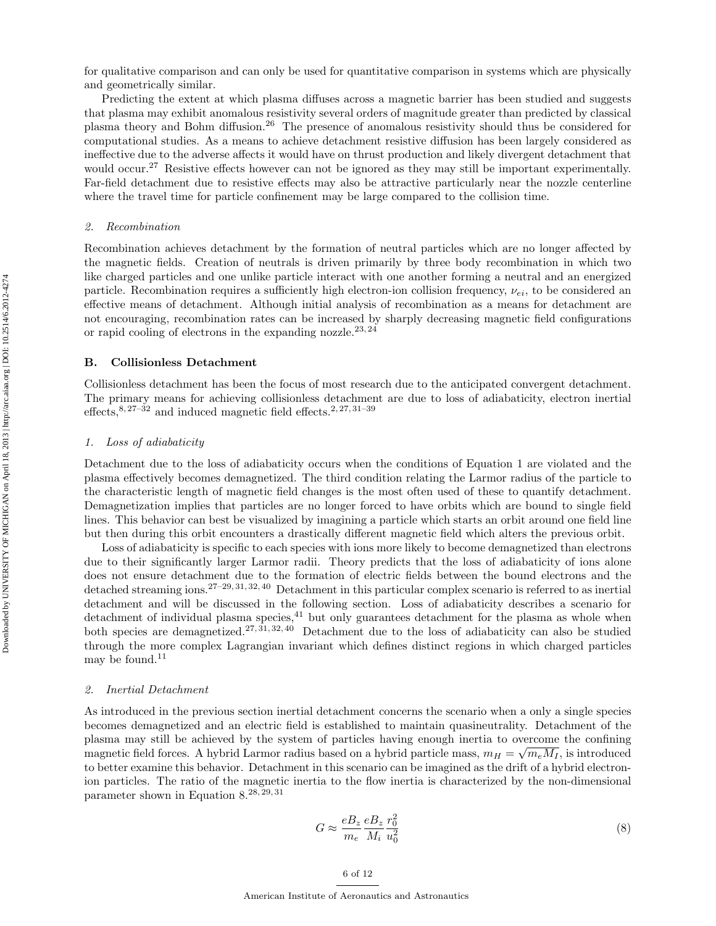for qualitative comparison and can only be used for quantitative comparison in systems which are physically and geometrically similar.

Predicting the extent at which plasma diffuses across a magnetic barrier has been studied and suggests that plasma may exhibit anomalous resistivity several orders of magnitude greater than predicted by classical plasma theory and Bohm diffusion.<sup>26</sup> The presence of anomalous resistivity should thus be considered for computational studies. As a means to achieve detachment resistive diffusion has been largely considered as ineffective due to the adverse affects it would have on thrust production and likely divergent detachment that would occur.<sup>27</sup> Resistive effects however can not be ignored as they may still be important experimentally. Far-field detachment due to resistive effects may also be attractive particularly near the nozzle centerline where the travel time for particle confinement may be large compared to the collision time.

#### 2. Recombination

Recombination achieves detachment by the formation of neutral particles which are no longer affected by the magnetic fields. Creation of neutrals is driven primarily by three body recombination in which two like charged particles and one unlike particle interact with one another forming a neutral and an energized particle. Recombination requires a sufficiently high electron-ion collision frequency,  $\nu_{ei}$ , to be considered an effective means of detachment. Although initial analysis of recombination as a means for detachment are not encouraging, recombination rates can be increased by sharply decreasing magnetic field configurations or rapid cooling of electrons in the expanding nozzle.<sup>23, 24</sup>

#### B. Collisionless Detachment

Collisionless detachment has been the focus of most research due to the anticipated convergent detachment. The primary means for achieving collisionless detachment are due to loss of adiabaticity, electron inertial effects,  $8, 27-32$  and induced magnetic field effects.<sup>2, 27, 31–39</sup>

### 1. Loss of adiabaticity

Detachment due to the loss of adiabaticity occurs when the conditions of Equation 1 are violated and the plasma effectively becomes demagnetized. The third condition relating the Larmor radius of the particle to the characteristic length of magnetic field changes is the most often used of these to quantify detachment. Demagnetization implies that particles are no longer forced to have orbits which are bound to single field lines. This behavior can best be visualized by imagining a particle which starts an orbit around one field line but then during this orbit encounters a drastically different magnetic field which alters the previous orbit.

Loss of adiabaticity is specific to each species with ions more likely to become demagnetized than electrons due to their significantly larger Larmor radii. Theory predicts that the loss of adiabaticity of ions alone does not ensure detachment due to the formation of electric fields between the bound electrons and the detached streaming ions.27–29, 31, 32, 40 Detachment in this particular complex scenario is referred to as inertial detachment and will be discussed in the following section. Loss of adiabaticity describes a scenario for detachment of individual plasma species, $^{41}$  but only guarantees detachment for the plasma as whole when both species are demagnetized.<sup>27, 31, 32, 40</sup> Detachment due to the loss of adiabaticity can also be studied through the more complex Lagrangian invariant which defines distinct regions in which charged particles may be found.<sup>11</sup>

#### 2. Inertial Detachment

As introduced in the previous section inertial detachment concerns the scenario when a only a single species becomes demagnetized and an electric field is established to maintain quasineutrality. Detachment of the plasma may still be achieved by the system of particles having enough inertia to overcome the confining magnetic field forces. A hybrid Larmor radius based on a hybrid particle mass,  $m_H = \sqrt{m_e M_I}$ , is introduced to better examine this behavior. Detachment in this scenario can be imagined as the drift of a hybrid electronion particles. The ratio of the magnetic inertia to the flow inertia is characterized by the non-dimensional parameter shown in Equation 8.28, 29, 31

$$
G \approx \frac{eB_z}{m_e} \frac{eB_z}{M_i} \frac{r_0^2}{u_0^2} \tag{8}
$$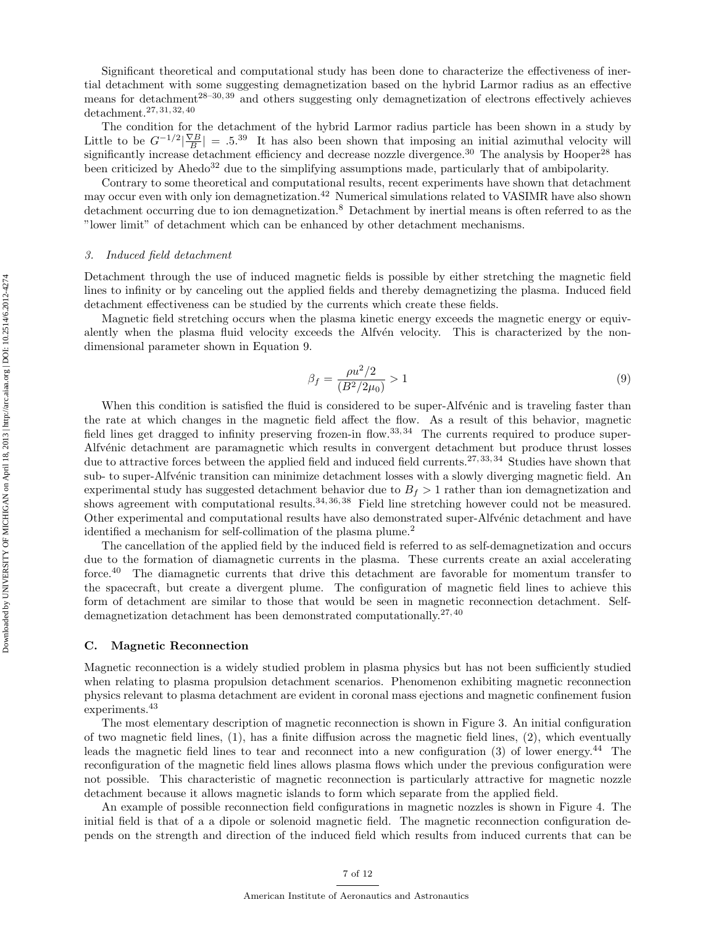Significant theoretical and computational study has been done to characterize the effectiveness of inertial detachment with some suggesting demagnetization based on the hybrid Larmor radius as an effective means for detachment<sup>28–30, 39</sup> and others suggesting only demagnetization of electrons effectively achieves detachment.27, 31, 32, 40

The condition for the detachment of the hybrid Larmor radius particle has been shown in a study by Little to be  $G^{-1/2}|\frac{\nabla B}{B}| = .5^{39}$  It has also been shown that imposing an initial azimuthal velocity will significantly increase detachment efficiency and decrease nozzle divergence.<sup>30</sup> The analysis by Hooper<sup>28</sup> has been criticized by Ahedo<sup>32</sup> due to the simplifying assumptions made, particularly that of ambipolarity.

Contrary to some theoretical and computational results, recent experiments have shown that detachment may occur even with only ion demagnetization.<sup>42</sup> Numerical simulations related to VASIMR have also shown detachment occurring due to ion demagnetization.<sup>8</sup> Detachment by inertial means is often referred to as the "lower limit" of detachment which can be enhanced by other detachment mechanisms.

### 3. Induced field detachment

Detachment through the use of induced magnetic fields is possible by either stretching the magnetic field lines to infinity or by canceling out the applied fields and thereby demagnetizing the plasma. Induced field detachment effectiveness can be studied by the currents which create these fields.

Magnetic field stretching occurs when the plasma kinetic energy exceeds the magnetic energy or equivalently when the plasma fluid velocity exceeds the Alfven velocity. This is characterized by the nondimensional parameter shown in Equation 9.

$$
\beta_f = \frac{\rho u^2 / 2}{(B^2 / 2\mu_0)} > 1\tag{9}
$$

When this condition is satisfied the fluid is considered to be super-Alfvénic and is traveling faster than the rate at which changes in the magnetic field affect the flow. As a result of this behavior, magnetic field lines get dragged to infinity preserving frozen-in flow.33, 34 The currents required to produce super-Alfvénic detachment are paramagnetic which results in convergent detachment but produce thrust losses due to attractive forces between the applied field and induced field currents.<sup>27, 33, 34</sup> Studies have shown that sub- to super-Alfvénic transition can minimize detachment losses with a slowly diverging magnetic field. An experimental study has suggested detachment behavior due to  $B_f > 1$  rather than ion demagnetization and shows agreement with computational results.<sup>34, 36, 38</sup> Field line stretching however could not be measured. Other experimental and computational results have also demonstrated super-Alfvénic detachment and have identified a mechanism for self-collimation of the plasma plume.<sup>2</sup>

The cancellation of the applied field by the induced field is referred to as self-demagnetization and occurs due to the formation of diamagnetic currents in the plasma. These currents create an axial accelerating force.<sup>40</sup> The diamagnetic currents that drive this detachment are favorable for momentum transfer to the spacecraft, but create a divergent plume. The configuration of magnetic field lines to achieve this form of detachment are similar to those that would be seen in magnetic reconnection detachment. Selfdemagnetization detachment has been demonstrated computationally.<sup>27, 40</sup>

#### C. Magnetic Reconnection

Magnetic reconnection is a widely studied problem in plasma physics but has not been sufficiently studied when relating to plasma propulsion detachment scenarios. Phenomenon exhibiting magnetic reconnection physics relevant to plasma detachment are evident in coronal mass ejections and magnetic confinement fusion experiments.<sup>43</sup>

The most elementary description of magnetic reconnection is shown in Figure 3. An initial configuration of two magnetic field lines, (1), has a finite diffusion across the magnetic field lines, (2), which eventually leads the magnetic field lines to tear and reconnect into a new configuration (3) of lower energy.<sup>44</sup> The reconfiguration of the magnetic field lines allows plasma flows which under the previous configuration were not possible. This characteristic of magnetic reconnection is particularly attractive for magnetic nozzle detachment because it allows magnetic islands to form which separate from the applied field.

An example of possible reconnection field configurations in magnetic nozzles is shown in Figure 4. The initial field is that of a a dipole or solenoid magnetic field. The magnetic reconnection configuration depends on the strength and direction of the induced field which results from induced currents that can be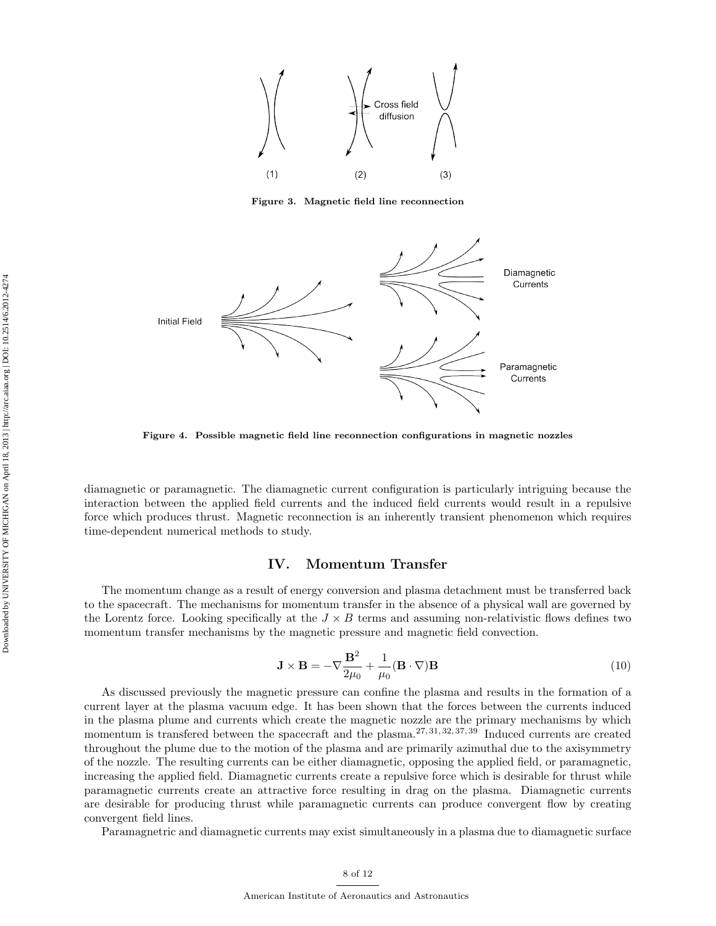

Figure 3. Magnetic field line reconnection



Figure 4. Possible magnetic field line reconnection configurations in magnetic nozzles

diamagnetic or paramagnetic. The diamagnetic current configuration is particularly intriguing because the interaction between the applied field currents and the induced field currents would result in a repulsive force which produces thrust. Magnetic reconnection is an inherently transient phenomenon which requires time-dependent numerical methods to study.

# IV. Momentum Transfer

The momentum change as a result of energy conversion and plasma detachment must be transferred back to the spacecraft. The mechanisms for momentum transfer in the absence of a physical wall are governed by the Lorentz force. Looking specifically at the  $J \times B$  terms and assuming non-relativistic flows defines two momentum transfer mechanisms by the magnetic pressure and magnetic field convection.

$$
\mathbf{J} \times \mathbf{B} = -\nabla \frac{\mathbf{B}^2}{2\mu_0} + \frac{1}{\mu_0} (\mathbf{B} \cdot \nabla) \mathbf{B}
$$
 (10)

As discussed previously the magnetic pressure can confine the plasma and results in the formation of a current layer at the plasma vacuum edge. It has been shown that the forces between the currents induced in the plasma plume and currents which create the magnetic nozzle are the primary mechanisms by which momentum is transfered between the spacecraft and the plasma.<sup>27, 31, 32, 37, 39</sup> Induced currents are created throughout the plume due to the motion of the plasma and are primarily azimuthal due to the axisymmetry of the nozzle. The resulting currents can be either diamagnetic, opposing the applied field, or paramagnetic, increasing the applied field. Diamagnetic currents create a repulsive force which is desirable for thrust while paramagnetic currents create an attractive force resulting in drag on the plasma. Diamagnetic currents are desirable for producing thrust while paramagnetic currents can produce convergent flow by creating convergent field lines.

Paramagnetric and diamagnetic currents may exist simultaneously in a plasma due to diamagnetic surface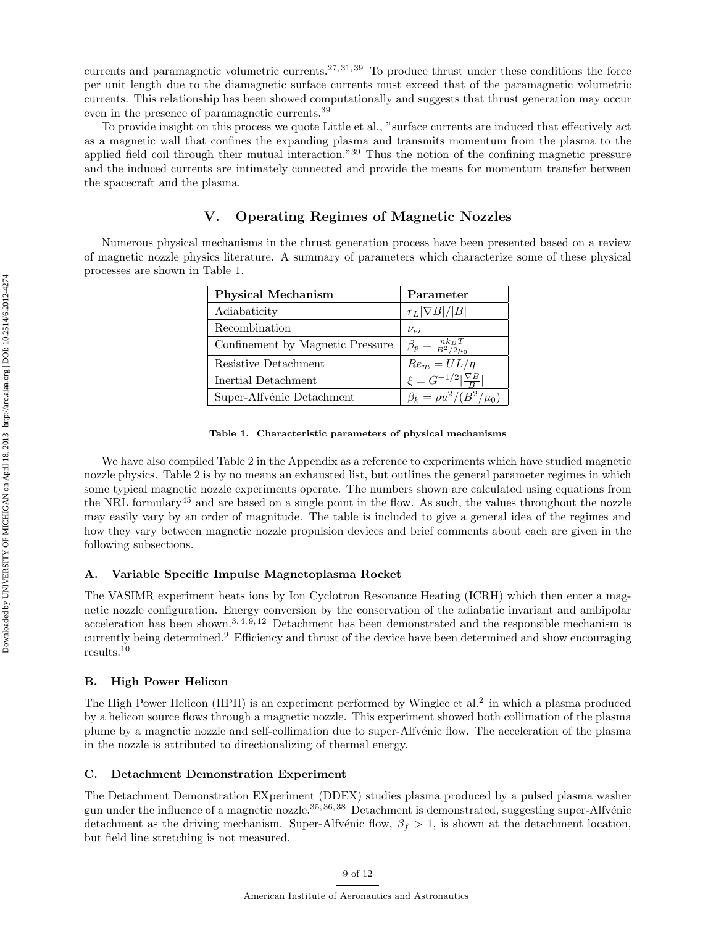currents and paramagnetic volumetric currents.<sup>27, 31, 39</sup> To produce thrust under these conditions the force per unit length due to the diamagnetic surface currents must exceed that of the paramagnetic volumetric currents. This relationship has been showed computationally and suggests that thrust generation may occur even in the presence of paramagnetic currents.<sup>39</sup>

To provide insight on this process we quote Little et al., "surface currents are induced that effectively act as a magnetic wall that confines the expanding plasma and transmits momentum from the plasma to the applied field coil through their mutual interaction."<sup>39</sup> Thus the notion of the confining magnetic pressure and the induced currents are intimately connected and provide the means for momentum transfer between the spacecraft and the plasma.

# V. Operating Regimes of Magnetic Nozzles

Numerous physical mechanisms in the thrust generation process have been presented based on a review of magnetic nozzle physics literature. A summary of parameters which characterize some of these physical processes are shown in Table 1.

| <b>Physical Mechanism</b>        | Parameter                             |  |  |  |
|----------------------------------|---------------------------------------|--|--|--|
| Adiabaticity                     | $r_L \nabla B / B $                   |  |  |  |
| Recombination                    | $\nu_{ei}$                            |  |  |  |
| Confinement by Magnetic Pressure | $=\frac{nk_BT}{B^2/2\mu_0}$           |  |  |  |
| Resistive Detachment             | $Re_m = UL/\eta$                      |  |  |  |
| Inertial Detachment              | $\xi = G^{-1/2}  \frac{\nabla B}{R} $ |  |  |  |
| Super-Alfvénic Detachment        | $\beta_k = \rho u^2 / (B^2 / \mu_0)$  |  |  |  |

#### Table 1. Characteristic parameters of physical mechanisms

We have also compiled Table 2 in the Appendix as a reference to experiments which have studied magnetic nozzle physics. Table 2 is by no means an exhausted list, but outlines the general parameter regimes in which some typical magnetic nozzle experiments operate. The numbers shown are calculated using equations from the NRL formulary<sup>45</sup> and are based on a single point in the flow. As such, the values throughout the nozzle may easily vary by an order of magnitude. The table is included to give a general idea of the regimes and how they vary between magnetic nozzle propulsion devices and brief comments about each are given in the following subsections.

# A. Variable Specific Impulse Magnetoplasma Rocket

The VASIMR experiment heats ions by Ion Cyclotron Resonance Heating (ICRH) which then enter a magnetic nozzle configuration. Energy conversion by the conservation of the adiabatic invariant and ambipolar acceleration has been shown.<sup>3, 4, 9, 12</sup> Detachment has been demonstrated and the responsible mechanism is currently being determined.<sup>9</sup> Efficiency and thrust of the device have been determined and show encouraging results.<sup>10</sup>

### B. High Power Helicon

The High Power Helicon (HPH) is an experiment performed by Winglee et al.<sup>2</sup> in which a plasma produced by a helicon source flows through a magnetic nozzle. This experiment showed both collimation of the plasma plume by a magnetic nozzle and self-collimation due to super-Alfvénic flow. The acceleration of the plasma in the nozzle is attributed to directionalizing of thermal energy.

#### C. Detachment Demonstration Experiment

The Detachment Demonstration EXperiment (DDEX) studies plasma produced by a pulsed plasma washer gun under the influence of a magnetic nozzle.<sup>35, 36, 38</sup> Detachment is demonstrated, suggesting super-Alfvénic detachment as the driving mechanism. Super-Alfvénic flow,  $\beta_f > 1$ , is shown at the detachment location, but field line stretching is not measured.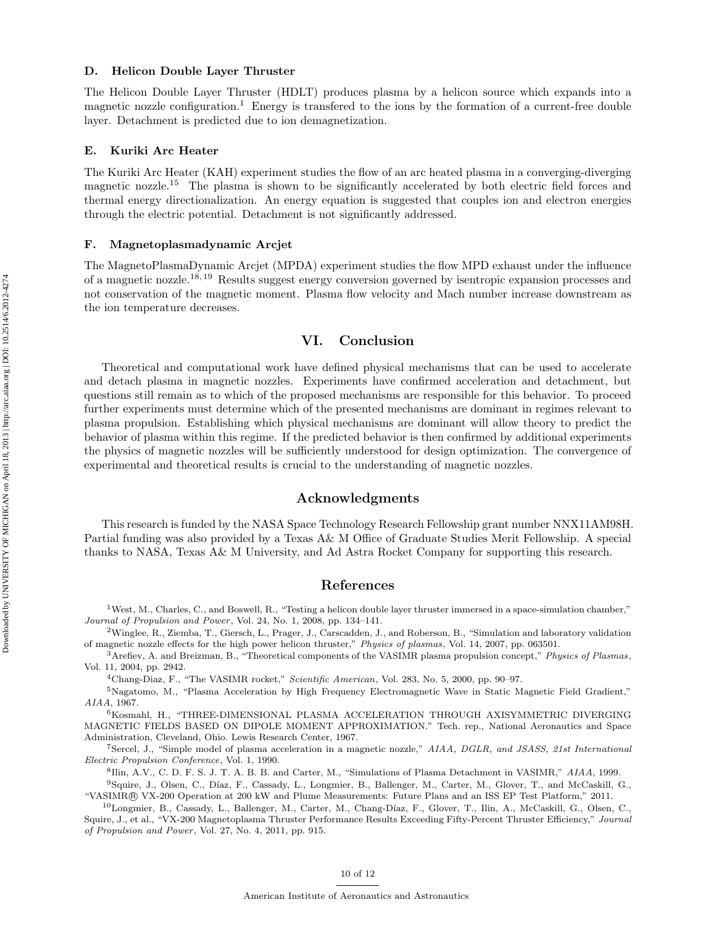# D. Helicon Double Layer Thruster

The Helicon Double Layer Thruster (HDLT) produces plasma by a helicon source which expands into a magnetic nozzle configuration.<sup>1</sup> Energy is transferred to the ions by the formation of a current-free double layer. Detachment is predicted due to ion demagnetization.

#### E. Kuriki Arc Heater

The Kuriki Arc Heater (KAH) experiment studies the flow of an arc heated plasma in a converging-diverging magnetic nozzle.<sup>15</sup> The plasma is shown to be significantly accelerated by both electric field forces and thermal energy directionalization. An energy equation is suggested that couples ion and electron energies through the electric potential. Detachment is not significantly addressed.

# F. Magnetoplasmadynamic Arcjet

The MagnetoPlasmaDynamic Arcjet (MPDA) experiment studies the flow MPD exhaust under the influence of a magnetic nozzle.18, 19 Results suggest energy conversion governed by isentropic expansion processes and not conservation of the magnetic moment. Plasma flow velocity and Mach number increase downstream as the ion temperature decreases.

# VI. Conclusion

Theoretical and computational work have defined physical mechanisms that can be used to accelerate and detach plasma in magnetic nozzles. Experiments have confirmed acceleration and detachment, but questions still remain as to which of the proposed mechanisms are responsible for this behavior. To proceed further experiments must determine which of the presented mechanisms are dominant in regimes relevant to plasma propulsion. Establishing which physical mechanisms are dominant will allow theory to predict the behavior of plasma within this regime. If the predicted behavior is then confirmed by additional experiments the physics of magnetic nozzles will be sufficiently understood for design optimization. The convergence of experimental and theoretical results is crucial to the understanding of magnetic nozzles.

# Acknowledgments

This research is funded by the NASA Space Technology Research Fellowship grant number NNX11AM98H. Partial funding was also provided by a Texas A& M Office of Graduate Studies Merit Fellowship. A special thanks to NASA, Texas A& M University, and Ad Astra Rocket Company for supporting this research.

# References

<sup>1</sup>West, M., Charles, C., and Boswell, R., "Testing a helicon double layer thruster immersed in a space-simulation chamber," Journal of Propulsion and Power , Vol. 24, No. 1, 2008, pp. 134–141.

<sup>2</sup>Winglee, R., Ziemba, T., Giersch, L., Prager, J., Carscadden, J., and Roberson, B., "Simulation and laboratory validation of magnetic nozzle effects for the high power helicon thruster," Physics of plasmas, Vol. 14, 2007, pp. 063501.

<sup>3</sup>Arefiev, A. and Breizman, B., "Theoretical components of the VASIMR plasma propulsion concept," Physics of Plasmas, Vol. 11, 2004, pp. 2942.

<sup>4</sup>Chang-Diaz, F., "The VASIMR rocket," *Scientific American*, Vol. 283, No. 5, 2000, pp. 90–97.

<sup>5</sup>Nagatomo, M., "Plasma Acceleration by High Frequency Electromagnetic Wave in Static Magnetic Field Gradient," AIAA, 1967.

 $6$ Kosmahl, H., "THREE-DIMENSIONAL PLASMA ACCELERATION THROUGH AXISYMMETRIC DIVERGING MAGNETIC FIELDS BASED ON DIPOLE MOMENT APPROXIMATION." Tech. rep., National Aeronautics and Space Administration, Cleveland, Ohio. Lewis Research Center, 1967.

<sup>7</sup>Sercel, J., "Simple model of plasma acceleration in a magnetic nozzle," AIAA, DGLR, and JSASS, 21st International Electric Propulsion Conference, Vol. 1, 1990.

8 Ilin, A.V., C. D. F. S. J. T. A. B. B. and Carter, M., "Simulations of Plasma Detachment in VASIMR," AIAA, 1999. <sup>9</sup>Squire, J., Olsen, C., D´ıaz, F., Cassady, L., Longmier, B., Ballenger, M., Carter, M., Glover, T., and McCaskill, G.,

"VASIMR® VX-200 Operation at 200 kW and Plume Measurements: Future Plans and an ISS EP Test Platform," 2011.

<sup>10</sup>Longmier, B., Cassady, L., Ballenger, M., Carter, M., Chang-Díaz, F., Glover, T., Ilin, A., McCaskill, G., Olsen, C. Squire, J., et al., "VX-200 Magnetoplasma Thruster Performance Results Exceeding Fifty-Percent Thruster Efficiency," Journal of Propulsion and Power , Vol. 27, No. 4, 2011, pp. 915.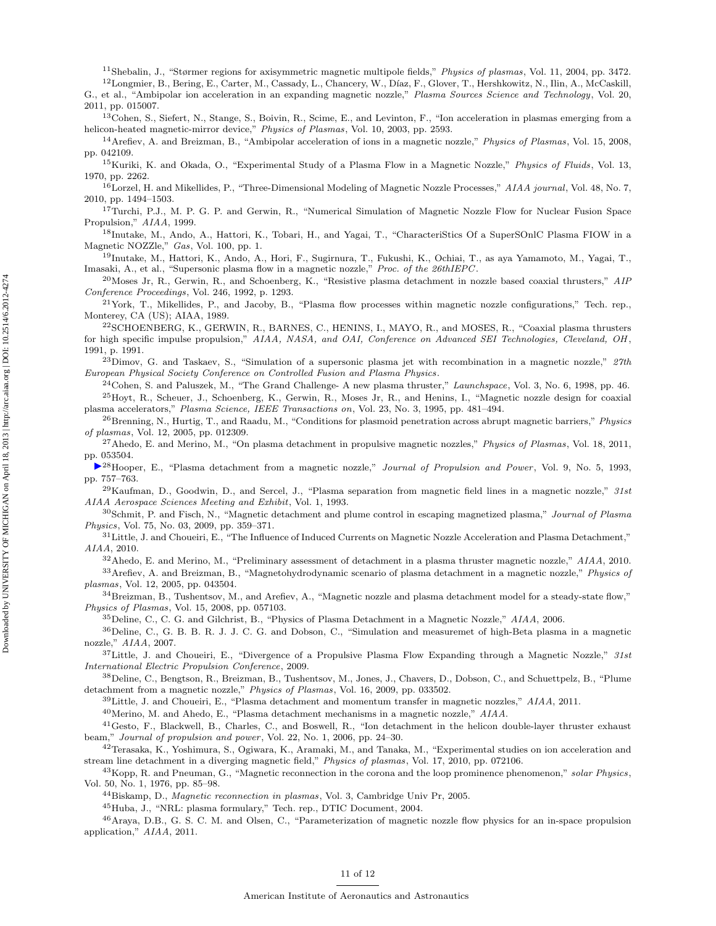<sup>11</sup>Shebalin, J., "Størmer regions for axisymmetric magnetic multipole fields," *Physics of plasmas*, Vol. 11, 2004, pp. 3472. <sup>12</sup>Longmier, B., Bering, E., Carter, M., Cassady, L., Chancery, W., Díaz, F., Glover, T., Hershkowitz, N., Ilin, A., McCaskill,

G., et al., "Ambipolar ion acceleration in an expanding magnetic nozzle," Plasma Sources Science and Technology, Vol. 20, 2011, pp. 015007.

 $13$ Cohen, S., Siefert, N., Stange, S., Boivin, R., Scime, E., and Levinton, F., "Ion acceleration in plasmas emerging from a helicon-heated magnetic-mirror device," Physics of Plasmas, Vol. 10, 2003, pp. 2593.

 $14$  Arefiev, A. and Breizman, B., "Ambipolar acceleration of ions in a magnetic nozzle," Physics of Plasmas, Vol. 15, 2008, pp. 042109.

 $15$ Kuriki, K. and Okada, O., "Experimental Study of a Plasma Flow in a Magnetic Nozzle," Physics of Fluids, Vol. 13, 1970, pp. 2262.

<sup>16</sup>Lorzel, H. and Mikellides, P., "Three-Dimensional Modeling of Magnetic Nozzle Processes," AIAA journal, Vol. 48, No. 7, 2010, pp. 1494–1503.

<sup>17</sup>Turchi, P.J., M. P. G. P. and Gerwin, R., "Numerical Simulation of Magnetic Nozzle Flow for Nuclear Fusion Space Propulsion," AIAA, 1999.

<sup>18</sup>Inutake, M., Ando, A., Hattori, K., Tobari, H., and Yagai, T., "CharacteriStics Of a SuperSOnlC Plasma FIOW in a Magnetic NOZZle," Gas, Vol. 100, pp. 1.

<sup>19</sup>Inutake, M., Hattori, K., Ando, A., Hori, F., Sugirnura, T., Fukushi, K., Ochiai, T., as aya Yamamoto, M., Yagai, T., Imasaki, A., et al., "Supersonic plasma flow in a magnetic nozzle," Proc. of the 26thIEPC.

<sup>20</sup>Moses Jr, R., Gerwin, R., and Schoenberg, K., "Resistive plasma detachment in nozzle based coaxial thrusters,"  $AIP$ Conference Proceedings, Vol. 246, 1992, p. 1293.

 $^{21}$ York, T., Mikellides, P., and Jacoby, B., "Plasma flow processes within magnetic nozzle configurations," Tech. rep. Monterey, CA (US); AIAA, 1989.

<sup>22</sup>SCHOENBERG, K., GERWIN, R., BARNES, C., HENINS, I., MAYO, R., and MOSES, R., "Coaxial plasma thrusters for high specific impulse propulsion," AIAA, NASA, and OAI, Conference on Advanced SEI Technologies, Cleveland, OH, 1991, p. 1991.

 $^{23}$ Dimov, G. and Taskaev, S., "Simulation of a supersonic plasma jet with recombination in a magnetic nozzle,"  $27th$ European Physical Society Conference on Controlled Fusion and Plasma Physics .

 $^{24}$ Cohen, S. and Paluszek, M., "The Grand Challenge- A new plasma thruster," Launchspace, Vol. 3, No. 6, 1998, pp. 46. <sup>25</sup>Hoyt, R., Scheuer, J., Schoenberg, K., Gerwin, R., Moses Jr, R., and Henins, I., "Magnetic nozzle design for coaxial plasma accelerators," Plasma Science, IEEE Transactions on, Vol. 23, No. 3, 1995, pp. 481–494.

 $^{26}$ Brenning, N., Hurtig, T., and Raadu, M., "Conditions for plasmoid penetration across abrupt magnetic barriers," *Physics* of plasmas, Vol. 12, 2005, pp. 012309.

 $^{27}$ Ahedo, E. and Merino, M., "On plasma detachment in propulsive magnetic nozzles," Physics of Plasmas, Vol. 18, 2011, pp. 053504.

<sup>28</sup>Hooper, E., "Plasma detachment from a magnetic nozzle," Journal of Propulsion and Power, Vol. 9, No. 5, 1993, pp. 757–763.

<sup>29</sup>Kaufman, D., Goodwin, D., and Sercel, J., "Plasma separation from magnetic field lines in a magnetic nozzle," 31st AIAA Aerospace Sciences Meeting and Exhibit, Vol. 1, 1993.

 $30$ Schmit, P. and Fisch, N., "Magnetic detachment and plume control in escaping magnetized plasma," Journal of Plasma Physics, Vol. 75, No. 03, 2009, pp. 359–371.

 $31$ Little, J. and Choueiri, E., "The Influence of Induced Currents on Magnetic Nozzle Acceleration and Plasma Detachment," AIAA, 2010.

 $32$ Ahedo, E. and Merino, M., "Preliminary assessment of detachment in a plasma thruster magnetic nozzle,"  $AIAA$ , 2010. 33 Arefiev, A. and Breizman, B., "Magnetohydrodynamic scenario of plasma detachment in a magnetic nozzle," Physics of plasmas, Vol. 12, 2005, pp. 043504.

 $34$ Breizman, B., Tushentsov, M., and Arefiev, A., "Magnetic nozzle and plasma detachment model for a steady-state flow," Physics of Plasmas, Vol. 15, 2008, pp. 057103.

<sup>35</sup>Deline, C., C. G. and Gilchrist, B., "Physics of Plasma Detachment in a Magnetic Nozzle," AIAA, 2006.

<sup>36</sup>Deline, C., G. B. B. R. J. J. C. G. and Dobson, C., "Simulation and measuremet of high-Beta plasma in a magnetic nozzle," AIAA, 2007.

 $37$ Little, J. and Choueiri, E., "Divergence of a Propulsive Plasma Flow Expanding through a Magnetic Nozzle,"  $31st$ International Electric Propulsion Conference, 2009.

<sup>38</sup>Deline, C., Bengtson, R., Breizman, B., Tushentsov, M., Jones, J., Chavers, D., Dobson, C., and Schuettpelz, B., "Plume detachment from a magnetic nozzle," Physics of Plasmas, Vol. 16, 2009, pp. 033502.

 $39$ Little, J. and Choueiri, E., "Plasma detachment and momentum transfer in magnetic nozzles,"  $AIAA$ , 2011.

 $^{40}$ Merino, M. and Ahedo, E., "Plasma detachment mechanisms in a magnetic nozzle,"  $AIAA$ .

 $^{41}$ Gesto, F., Blackwell, B., Charles, C., and Boswell, R., "Ion detachment in the helicon double-layer thruster exhaust beam," Journal of propulsion and power , Vol. 22, No. 1, 2006, pp. 24–30.

<sup>42</sup>Terasaka, K., Yoshimura, S., Ogiwara, K., Aramaki, M., and Tanaka, M., "Experimental studies on ion acceleration and stream line detachment in a diverging magnetic field," Physics of plasmas, Vol. 17, 2010, pp. 072106.

 $^{43}$ Kopp, R. and Pneuman, G., "Magnetic reconnection in the corona and the loop prominence phenomenon," solar Physics, Vol. 50, No. 1, 1976, pp. 85–98.

<sup>44</sup>Biskamp, D., Magnetic reconnection in plasmas, Vol. 3, Cambridge Univ Pr, 2005.

<sup>45</sup>Huba, J., "NRL: plasma formulary," Tech. rep., DTIC Document, 2004.

 $^{46}$ Araya, D.B., G. S. C. M. and Olsen, C., "Parameterization of magnetic nozzle flow physics for an in-space propulsion application," AIAA, 2011.